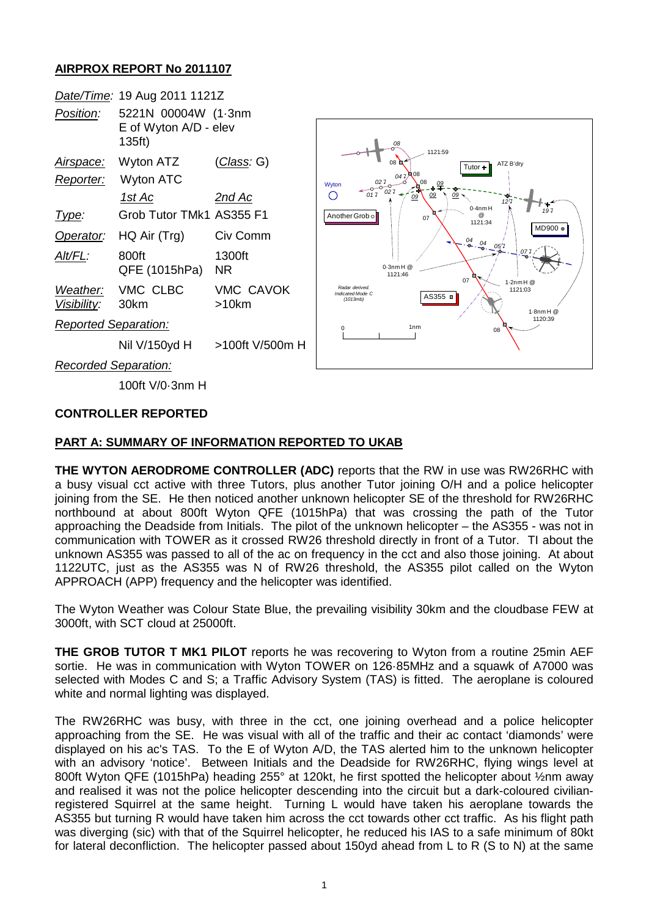# **AIRPROX REPORT No 2011107**

|                             | Date/Time: 19 Aug 2011 1121Z                           |                           |
|-----------------------------|--------------------------------------------------------|---------------------------|
| <i>Position:</i>            | 5221N 00004W (1.3nm<br>E of Wyton A/D - elev<br>135ft) |                           |
| Airspace:                   | Wyton ATZ                                              | (Class: G)                |
| Reporter:                   | Wyton ATC                                              |                           |
|                             | 1st Ac                                                 | 2nd Ac                    |
| Type:                       | Grob Tutor TMk1 AS355 F1                               |                           |
| Operator:                   | HQ Air (Trg)                                           | Civ Comm                  |
| Alt/FL:                     | 800ft<br>QFE (1015hPa)                                 | 1300ft<br><b>NR</b>       |
| Visibility: 30km            | Weather: VMC CLBC                                      | <b>VMC CAVOK</b><br>>10km |
| <b>Reported Separation:</b> |                                                        |                           |
|                             | Nil V/150vd H                                          | >100ft V/500m H           |



*Recorded Separation:*

100ft V/0·3nm H

### **CONTROLLER REPORTED**

### **PART A: SUMMARY OF INFORMATION REPORTED TO UKAB**

**THE WYTON AERODROME CONTROLLER (ADC)** reports that the RW in use was RW26RHC with a busy visual cct active with three Tutors, plus another Tutor joining O/H and a police helicopter joining from the SE. He then noticed another unknown helicopter SE of the threshold for RW26RHC northbound at about 800ft Wyton QFE (1015hPa) that was crossing the path of the Tutor approaching the Deadside from Initials. The pilot of the unknown helicopter – the AS355 - was not in communication with TOWER as it crossed RW26 threshold directly in front of a Tutor. TI about the unknown AS355 was passed to all of the ac on frequency in the cct and also those joining. At about 1122UTC, just as the AS355 was N of RW26 threshold, the AS355 pilot called on the Wyton APPROACH (APP) frequency and the helicopter was identified.

The Wyton Weather was Colour State Blue, the prevailing visibility 30km and the cloudbase FEW at 3000ft, with SCT cloud at 25000ft.

**THE GROB TUTOR T MK1 PILOT** reports he was recovering to Wyton from a routine 25min AEF sortie. He was in communication with Wyton TOWER on 126·85MHz and a squawk of A7000 was selected with Modes C and S; a Traffic Advisory System (TAS) is fitted. The aeroplane is coloured white and normal lighting was displayed.

The RW26RHC was busy, with three in the cct, one joining overhead and a police helicopter approaching from the SE. He was visual with all of the traffic and their ac contact 'diamonds' were displayed on his ac's TAS. To the E of Wyton A/D, the TAS alerted him to the unknown helicopter with an advisory 'notice'. Between Initials and the Deadside for RW26RHC, flying wings level at 800ft Wyton QFE (1015hPa) heading 255° at 120kt, he first spotted the helicopter about ½nm away and realised it was not the police helicopter descending into the circuit but a dark-coloured civilianregistered Squirrel at the same height. Turning L would have taken his aeroplane towards the AS355 but turning R would have taken him across the cct towards other cct traffic. As his flight path was diverging (sic) with that of the Squirrel helicopter, he reduced his IAS to a safe minimum of 80kt for lateral deconfliction. The helicopter passed about 150yd ahead from L to R (S to N) at the same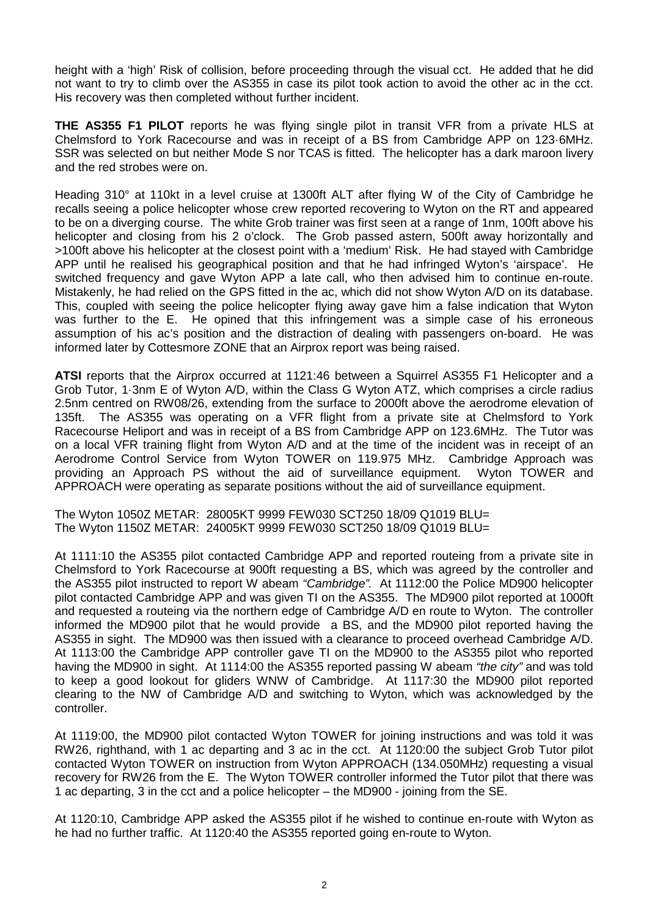height with a 'high' Risk of collision, before proceeding through the visual cct. He added that he did not want to try to climb over the AS355 in case its pilot took action to avoid the other ac in the cct. His recovery was then completed without further incident.

**THE AS355 F1 PILOT** reports he was flying single pilot in transit VFR from a private HLS at Chelmsford to York Racecourse and was in receipt of a BS from Cambridge APP on 123·6MHz. SSR was selected on but neither Mode S nor TCAS is fitted. The helicopter has a dark maroon livery and the red strobes were on.

Heading 310° at 110kt in a level cruise at 1300ft ALT after flying W of the City of Cambridge he recalls seeing a police helicopter whose crew reported recovering to Wyton on the RT and appeared to be on a diverging course. The white Grob trainer was first seen at a range of 1nm, 100ft above his helicopter and closing from his 2 o'clock. The Grob passed astern, 500ft away horizontally and >100ft above his helicopter at the closest point with a 'medium' Risk. He had stayed with Cambridge APP until he realised his geographical position and that he had infringed Wyton's 'airspace'. He switched frequency and gave Wyton APP a late call, who then advised him to continue en-route. Mistakenly, he had relied on the GPS fitted in the ac, which did not show Wyton A/D on its database. This, coupled with seeing the police helicopter flying away gave him a false indication that Wyton was further to the E. He opined that this infringement was a simple case of his erroneous assumption of his ac's position and the distraction of dealing with passengers on-board. He was informed later by Cottesmore ZONE that an Airprox report was being raised.

**ATSI** reports that the Airprox occurred at 1121:46 between a Squirrel AS355 F1 Helicopter and a Grob Tutor, 1·3nm E of Wyton A/D, within the Class G Wyton ATZ, which comprises a circle radius 2.5nm centred on RW08/26, extending from the surface to 2000ft above the aerodrome elevation of 135ft. The AS355 was operating on a VFR flight from a private site at Chelmsford to York Racecourse Heliport and was in receipt of a BS from Cambridge APP on 123.6MHz. The Tutor was on a local VFR training flight from Wyton A/D and at the time of the incident was in receipt of an Aerodrome Control Service from Wyton TOWER on 119.975 MHz. Cambridge Approach was providing an Approach PS without the aid of surveillance equipment. Wyton TOWER and APPROACH were operating as separate positions without the aid of surveillance equipment.

The Wyton 1050Z METAR: 28005KT 9999 FEW030 SCT250 18/09 Q1019 BLU= The Wyton 1150Z METAR: 24005KT 9999 FEW030 SCT250 18/09 Q1019 BLU=

At 1111:10 the AS355 pilot contacted Cambridge APP and reported routeing from a private site in Chelmsford to York Racecourse at 900ft requesting a BS, which was agreed by the controller and the AS355 pilot instructed to report W abeam *"Cambridge".* At 1112:00 the Police MD900 helicopter pilot contacted Cambridge APP and was given TI on the AS355. The MD900 pilot reported at 1000ft and requested a routeing via the northern edge of Cambridge A/D en route to Wyton. The controller informed the MD900 pilot that he would provide a BS, and the MD900 pilot reported having the AS355 in sight. The MD900 was then issued with a clearance to proceed overhead Cambridge A/D. At 1113:00 the Cambridge APP controller gave TI on the MD900 to the AS355 pilot who reported having the MD900 in sight. At 1114:00 the AS355 reported passing W abeam *"the city"* and was told to keep a good lookout for gliders WNW of Cambridge. At 1117:30 the MD900 pilot reported clearing to the NW of Cambridge A/D and switching to Wyton, which was acknowledged by the controller.

At 1119:00, the MD900 pilot contacted Wyton TOWER for joining instructions and was told it was RW26, righthand, with 1 ac departing and 3 ac in the cct. At 1120:00 the subject Grob Tutor pilot contacted Wyton TOWER on instruction from Wyton APPROACH (134.050MHz) requesting a visual recovery for RW26 from the E. The Wyton TOWER controller informed the Tutor pilot that there was 1 ac departing, 3 in the cct and a police helicopter – the MD900 - joining from the SE.

At 1120:10, Cambridge APP asked the AS355 pilot if he wished to continue en-route with Wyton as he had no further traffic. At 1120:40 the AS355 reported going en-route to Wyton.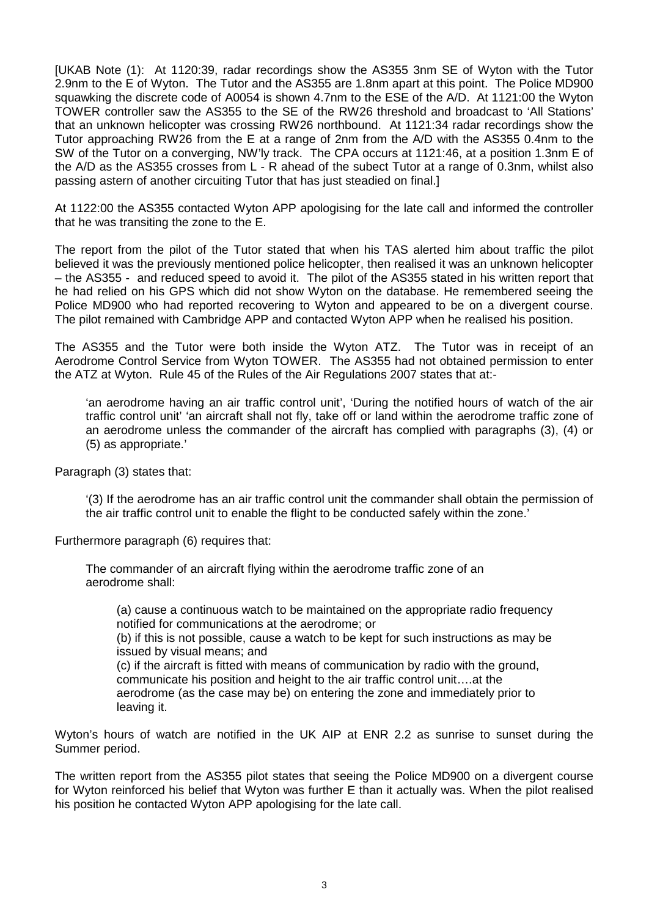[UKAB Note (1): At 1120:39, radar recordings show the AS355 3nm SE of Wyton with the Tutor 2.9nm to the E of Wyton. The Tutor and the AS355 are 1.8nm apart at this point. The Police MD900 squawking the discrete code of A0054 is shown 4.7nm to the ESE of the A/D. At 1121:00 the Wyton TOWER controller saw the AS355 to the SE of the RW26 threshold and broadcast to 'All Stations' that an unknown helicopter was crossing RW26 northbound. At 1121:34 radar recordings show the Tutor approaching RW26 from the E at a range of 2nm from the A/D with the AS355 0.4nm to the SW of the Tutor on a converging, NW'ly track. The CPA occurs at 1121:46, at a position 1.3nm E of the A/D as the AS355 crosses from L - R ahead of the subect Tutor at a range of 0.3nm, whilst also passing astern of another circuiting Tutor that has just steadied on final.]

At 1122:00 the AS355 contacted Wyton APP apologising for the late call and informed the controller that he was transiting the zone to the E.

The report from the pilot of the Tutor stated that when his TAS alerted him about traffic the pilot believed it was the previously mentioned police helicopter, then realised it was an unknown helicopter – the AS355 - and reduced speed to avoid it. The pilot of the AS355 stated in his written report that he had relied on his GPS which did not show Wyton on the database. He remembered seeing the Police MD900 who had reported recovering to Wyton and appeared to be on a divergent course. The pilot remained with Cambridge APP and contacted Wyton APP when he realised his position.

The AS355 and the Tutor were both inside the Wyton ATZ. The Tutor was in receipt of an Aerodrome Control Service from Wyton TOWER. The AS355 had not obtained permission to enter the ATZ at Wyton. Rule 45 of the Rules of the Air Regulations 2007 states that at:-

'an aerodrome having an air traffic control unit', 'During the notified hours of watch of the air traffic control unit' 'an aircraft shall not fly, take off or land within the aerodrome traffic zone of an aerodrome unless the commander of the aircraft has complied with paragraphs (3), (4) or (5) as appropriate.'

Paragraph (3) states that:

'(3) If the aerodrome has an air traffic control unit the commander shall obtain the permission of the air traffic control unit to enable the flight to be conducted safely within the zone.'

Furthermore paragraph (6) requires that:

The commander of an aircraft flying within the aerodrome traffic zone of an aerodrome shall:

(a) cause a continuous watch to be maintained on the appropriate radio frequency notified for communications at the aerodrome; or

(b) if this is not possible, cause a watch to be kept for such instructions as may be issued by visual means; and

(c) if the aircraft is fitted with means of communication by radio with the ground, communicate his position and height to the air traffic control unit….at the aerodrome (as the case may be) on entering the zone and immediately prior to leaving it.

Wyton's hours of watch are notified in the UK AIP at ENR 2.2 as sunrise to sunset during the Summer period.

The written report from the AS355 pilot states that seeing the Police MD900 on a divergent course for Wyton reinforced his belief that Wyton was further E than it actually was. When the pilot realised his position he contacted Wyton APP apologising for the late call.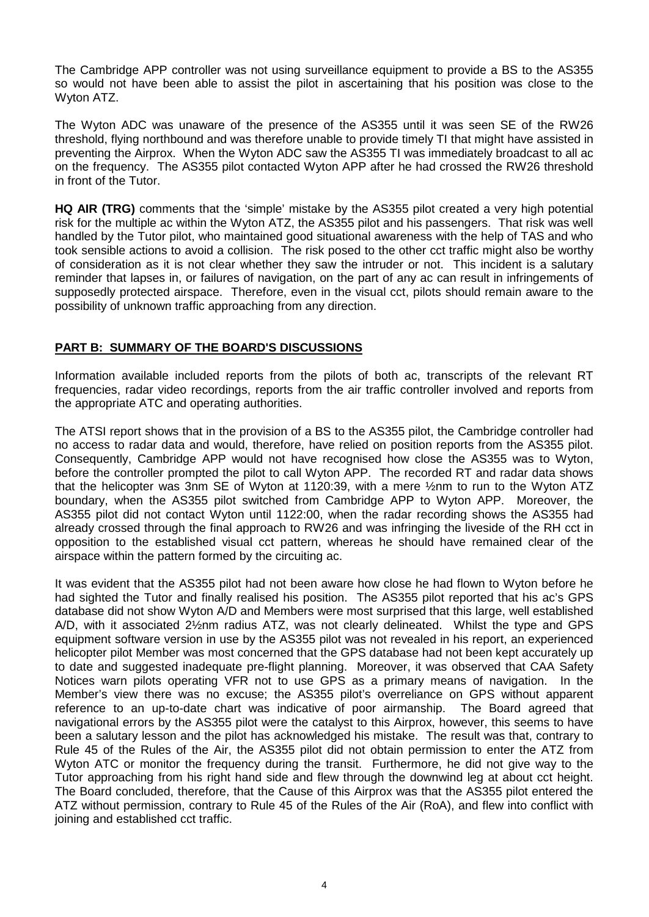The Cambridge APP controller was not using surveillance equipment to provide a BS to the AS355 so would not have been able to assist the pilot in ascertaining that his position was close to the Wyton ATZ.

The Wyton ADC was unaware of the presence of the AS355 until it was seen SE of the RW26 threshold, flying northbound and was therefore unable to provide timely TI that might have assisted in preventing the Airprox. When the Wyton ADC saw the AS355 TI was immediately broadcast to all ac on the frequency. The AS355 pilot contacted Wyton APP after he had crossed the RW26 threshold in front of the Tutor.

**HQ AIR (TRG)** comments that the 'simple' mistake by the AS355 pilot created a very high potential risk for the multiple ac within the Wyton ATZ, the AS355 pilot and his passengers. That risk was well handled by the Tutor pilot, who maintained good situational awareness with the help of TAS and who took sensible actions to avoid a collision. The risk posed to the other cct traffic might also be worthy of consideration as it is not clear whether they saw the intruder or not. This incident is a salutary reminder that lapses in, or failures of navigation, on the part of any ac can result in infringements of supposedly protected airspace. Therefore, even in the visual cct, pilots should remain aware to the possibility of unknown traffic approaching from any direction.

# **PART B: SUMMARY OF THE BOARD'S DISCUSSIONS**

Information available included reports from the pilots of both ac, transcripts of the relevant RT frequencies, radar video recordings, reports from the air traffic controller involved and reports from the appropriate ATC and operating authorities.

The ATSI report shows that in the provision of a BS to the AS355 pilot, the Cambridge controller had no access to radar data and would, therefore, have relied on position reports from the AS355 pilot. Consequently, Cambridge APP would not have recognised how close the AS355 was to Wyton, before the controller prompted the pilot to call Wyton APP. The recorded RT and radar data shows that the helicopter was 3nm SE of Wyton at 1120:39, with a mere ½nm to run to the Wyton ATZ boundary, when the AS355 pilot switched from Cambridge APP to Wyton APP. Moreover, the AS355 pilot did not contact Wyton until 1122:00, when the radar recording shows the AS355 had already crossed through the final approach to RW26 and was infringing the liveside of the RH cct in opposition to the established visual cct pattern, whereas he should have remained clear of the airspace within the pattern formed by the circuiting ac.

It was evident that the AS355 pilot had not been aware how close he had flown to Wyton before he had sighted the Tutor and finally realised his position. The AS355 pilot reported that his ac's GPS database did not show Wyton A/D and Members were most surprised that this large, well established A/D, with it associated 2½nm radius ATZ, was not clearly delineated. Whilst the type and GPS equipment software version in use by the AS355 pilot was not revealed in his report, an experienced helicopter pilot Member was most concerned that the GPS database had not been kept accurately up to date and suggested inadequate pre-flight planning. Moreover, it was observed that CAA Safety Notices warn pilots operating VFR not to use GPS as a primary means of navigation. In the Member's view there was no excuse; the AS355 pilot's overreliance on GPS without apparent reference to an up-to-date chart was indicative of poor airmanship. The Board agreed that navigational errors by the AS355 pilot were the catalyst to this Airprox, however, this seems to have been a salutary lesson and the pilot has acknowledged his mistake. The result was that, contrary to Rule 45 of the Rules of the Air, the AS355 pilot did not obtain permission to enter the ATZ from Wyton ATC or monitor the frequency during the transit. Furthermore, he did not give way to the Tutor approaching from his right hand side and flew through the downwind leg at about cct height. The Board concluded, therefore, that the Cause of this Airprox was that the AS355 pilot entered the ATZ without permission, contrary to Rule 45 of the Rules of the Air (RoA), and flew into conflict with ioining and established cct traffic.